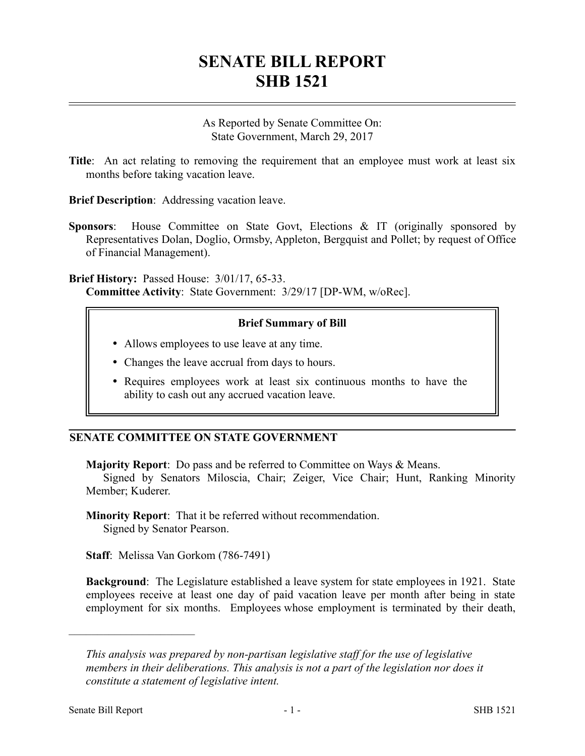## **SENATE BILL REPORT SHB 1521**

As Reported by Senate Committee On: State Government, March 29, 2017

**Title**: An act relating to removing the requirement that an employee must work at least six months before taking vacation leave.

**Brief Description**: Addressing vacation leave.

**Sponsors**: House Committee on State Govt, Elections & IT (originally sponsored by Representatives Dolan, Doglio, Ormsby, Appleton, Bergquist and Pollet; by request of Office of Financial Management).

**Brief History:** Passed House: 3/01/17, 65-33. **Committee Activity**: State Government: 3/29/17 [DP-WM, w/oRec].

## **Brief Summary of Bill**

- Allows employees to use leave at any time.
- Changes the leave accrual from days to hours.
- Requires employees work at least six continuous months to have the ability to cash out any accrued vacation leave.

## **SENATE COMMITTEE ON STATE GOVERNMENT**

**Majority Report**: Do pass and be referred to Committee on Ways & Means.

Signed by Senators Miloscia, Chair; Zeiger, Vice Chair; Hunt, Ranking Minority Member; Kuderer.

**Minority Report**: That it be referred without recommendation. Signed by Senator Pearson.

**Staff**: Melissa Van Gorkom (786-7491)

**Background**: The Legislature established a leave system for state employees in 1921. State employees receive at least one day of paid vacation leave per month after being in state employment for six months. Employees whose employment is terminated by their death,

––––––––––––––––––––––

*This analysis was prepared by non-partisan legislative staff for the use of legislative members in their deliberations. This analysis is not a part of the legislation nor does it constitute a statement of legislative intent.*